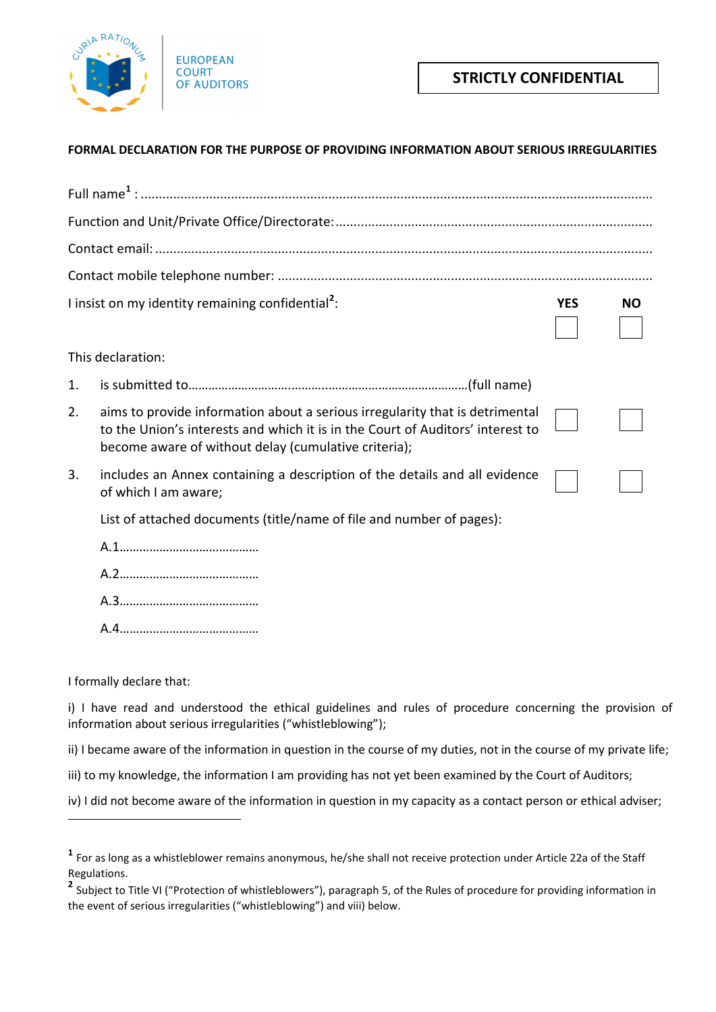

## **STRICTLY CONFIDENTIAL**

## **FORMAL DECLARATION FOR THE PURPOSE OF PROVIDING INFORMATION ABOUT SERIOUS IRREGULARITIES**

|                   | I insist on my identity remaining confidential <sup>2</sup> :                                                                                                                                                          | <b>YES</b> | <b>NO</b> |
|-------------------|------------------------------------------------------------------------------------------------------------------------------------------------------------------------------------------------------------------------|------------|-----------|
| This declaration: |                                                                                                                                                                                                                        |            |           |
| 1.                |                                                                                                                                                                                                                        |            |           |
| 2.                | aims to provide information about a serious irregularity that is detrimental<br>to the Union's interests and which it is in the Court of Auditors' interest to<br>become aware of without delay (cumulative criteria); |            |           |
| 3.                | includes an Annex containing a description of the details and all evidence<br>of which I am aware;                                                                                                                     |            |           |
|                   | List of attached documents (title/name of file and number of pages):                                                                                                                                                   |            |           |
|                   |                                                                                                                                                                                                                        |            |           |
|                   |                                                                                                                                                                                                                        |            |           |
|                   |                                                                                                                                                                                                                        |            |           |

A.4……………………………………

I formally declare that:

1

i) I have read and understood the ethical guidelines and rules of procedure concerning the provision of information about serious irregularities ("whistleblowing");

- ii) I became aware of the information in question in the course of my duties, not in the course of my private life;
- iii) to my knowledge, the information I am providing has not yet been examined by the Court of Auditors;

iv) I did not become aware of the information in question in my capacity as a contact person or ethical adviser;

<span id="page-0-0"></span>**<sup>1</sup>** For as long as a whistleblower remains anonymous, he/she shall not receive protection under Article 22a of the Staff Regulations.

<span id="page-0-1"></span>**<sup>2</sup>** Subject to Title VI ("Protection of whistleblowers"), paragraph 5, of the Rules of procedure for providing information in the event of serious irregularities ("whistleblowing") and viii) below.